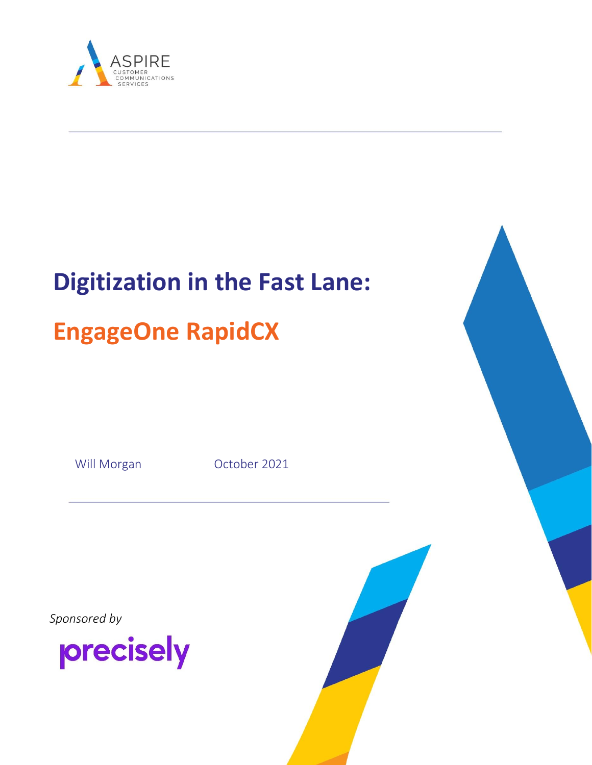

# **Digitization in the Fast Lane:**

## **EngageOne RapidCX**

Will Morgan October 2021

*Sponsored by*



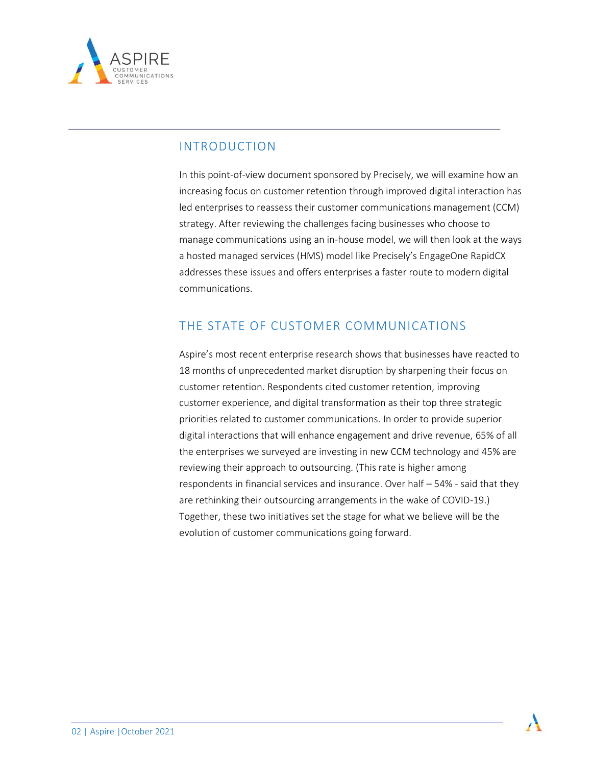

#### INTRODUCTION

In this point-of-view document sponsored by Precisely, we will examine how an increasing focus on customer retention through improved digital interaction has led enterprises to reassess their customer communications management (CCM) strategy. After reviewing the challenges facing businesses who choose to manage communications using an in-house model, we will then look at the ways a hosted managed services (HMS) model like Precisely's EngageOne RapidCX addresses these issues and offers enterprises a faster route to modern digital communications.

#### THE STATE OF CUSTOMER COMMUNICATIONS

Aspire's most recent enterprise research shows that businesses have reacted to 18 months of unprecedented market disruption by sharpening their focus on customer retention. Respondents cited customer retention, improving customer experience, and digital transformation as their top three strategic priorities related to customer communications. In order to provide superior digital interactions that will enhance engagement and drive revenue, 65% of all the enterprises we surveyed are investing in new CCM technology and 45% are reviewing their approach to outsourcing. (This rate is higher among respondents in financial services and insurance. Over half – 54% - said that they are rethinking their outsourcing arrangements in the wake of COVID-19.) Together, these two initiatives set the stage for what we believe will be the evolution of customer communications going forward.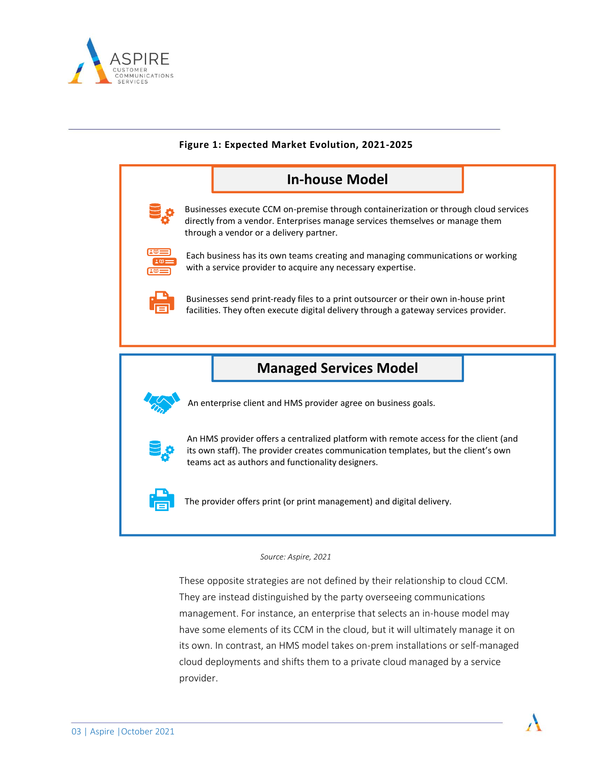

#### **Figure 1: Expected Market Evolution, 2021-2025**

### **In-house Model Managed Services Model** Businesses execute CCM on-premise through containerization or through cloud services directly from a vendor. Enterprises manage services themselves or manage them through a vendor or a delivery partner. Each business has its own teams creating and managing communications or working with a service provider to acquire any necessary expertise. Businesses send print-ready files to a print outsourcer or their own in-house print facilities. They often execute digital delivery through a gateway services provider. An enterprise client and HMS provider agree on business goals. An HMS provider offers a centralized platform with remote access for the client (and its own staff). The provider creates communication templates, but the client's own teams act as authors and functionality designers. The provider offers print (or print management) and digital delivery.

*Source: Aspire, 2021*

These opposite strategies are not defined by their relationship to cloud CCM. They are instead distinguished by the party overseeing communications management. For instance, an enterprise that selects an in-house model may have some elements of its CCM in the cloud, but it will ultimately manage it on its own. In contrast, an HMS model takes on-prem installations or self-managed cloud deployments and shifts them to a private cloud managed by a service provider.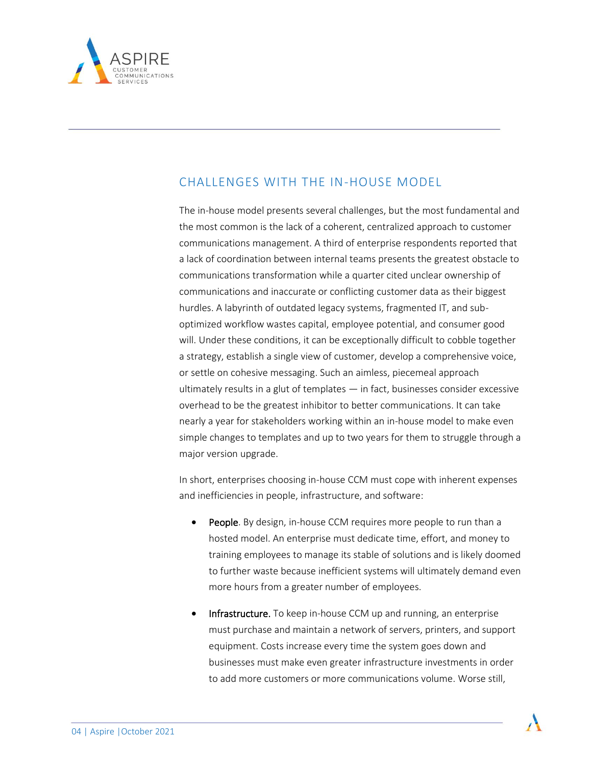

#### CHALLENGES WITH THE IN-HOUSE MODEL

The in-house model presents several challenges, but the most fundamental and the most common is the lack of a coherent, centralized approach to customer communications management. A third of enterprise respondents reported that a lack of coordination between internal teams presents the greatest obstacle to communications transformation while a quarter cited unclear ownership of communications and inaccurate or conflicting customer data as their biggest hurdles. A labyrinth of outdated legacy systems, fragmented IT, and suboptimized workflow wastes capital, employee potential, and consumer good will. Under these conditions, it can be exceptionally difficult to cobble together a strategy, establish a single view of customer, develop a comprehensive voice, or settle on cohesive messaging. Such an aimless, piecemeal approach ultimately results in a glut of templates  $-$  in fact, businesses consider excessive overhead to be the greatest inhibitor to better communications. It can take nearly a year for stakeholders working within an in-house model to make even simple changes to templates and up to two years for them to struggle through a major version upgrade.

In short, enterprises choosing in-house CCM must cope with inherent expenses and inefficiencies in people, infrastructure, and software:

- People. By design, in-house CCM requires more people to run than a hosted model. An enterprise must dedicate time, effort, and money to training employees to manage its stable of solutions and is likely doomed to further waste because inefficient systems will ultimately demand even more hours from a greater number of employees.
- **Infrastructure.** To keep in-house CCM up and running, an enterprise must purchase and maintain a network of servers, printers, and support equipment. Costs increase every time the system goes down and businesses must make even greater infrastructure investments in order to add more customers or more communications volume. Worse still,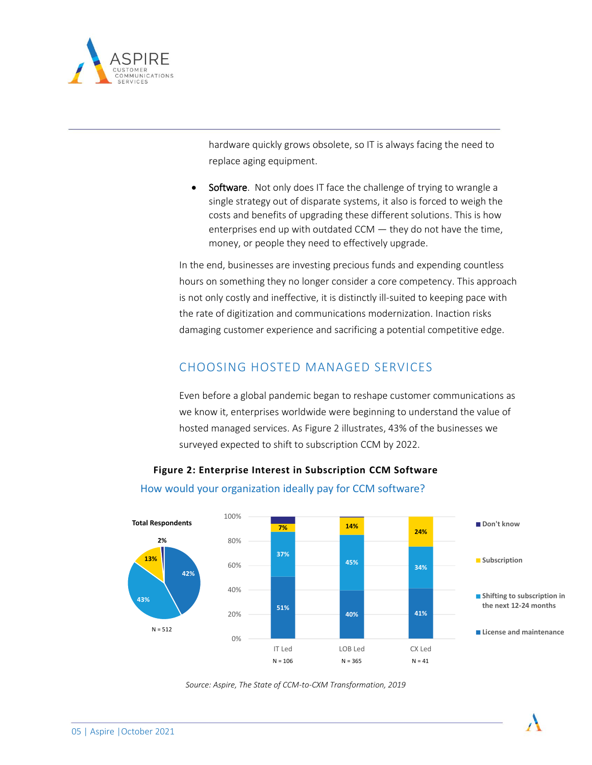

hardware quickly grows obsolete, so IT is always facing the need to replace aging equipment.

Software. Not only does IT face the challenge of trying to wrangle a single strategy out of disparate systems, it also is forced to weigh the costs and benefits of upgrading these different solutions. This is how enterprises end up with outdated CCM  $-$  they do not have the time, money, or people they need to effectively upgrade.

In the end, businesses are investing precious funds and expending countless hours on something they no longer consider a core competency. This approach is not only costly and ineffective, it is distinctly ill-suited to keeping pace with the rate of digitization and communications modernization. Inaction risks damaging customer experience and sacrificing a potential competitive edge.

#### CHOOSING HOSTED MANAGED SERVICES

Even before a global pandemic began to reshape customer communications as we know it, enterprises worldwide were beginning to understand the value of hosted managed services. As Figure 2 illustrates, 43% of the businesses we surveyed expected to shift to subscription CCM by 2022.

#### **Figure 2: Enterprise Interest in Subscription CCM Software**



#### How would your organization ideally pay for CCM software?

*Source: Aspire, The State of CCM-to-CXM Transformation, 2019*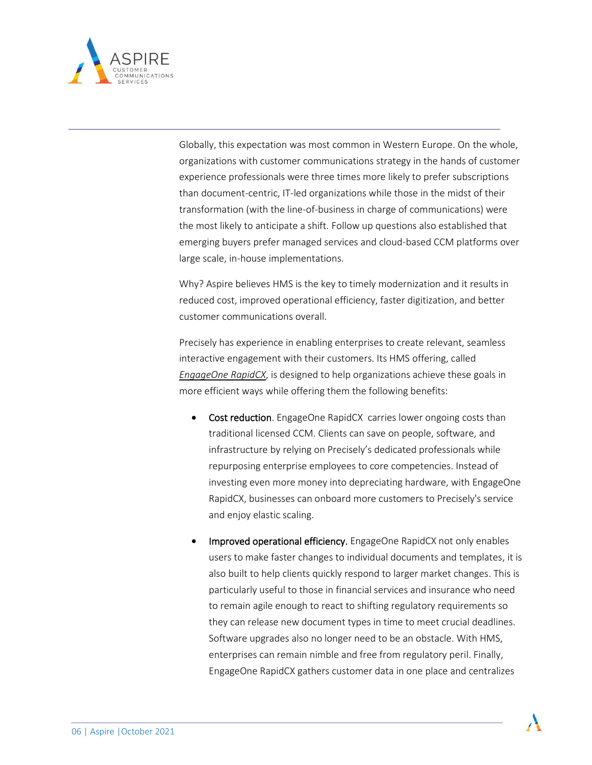

Globally, this expectation was most common in Western Europe. On the whole, organizations with customer communications strategy in the hands of customer experience professionals were three times more likely to prefer subscriptions than document-centric, IT-led organizations while those in the midst of their transformation (with the line-of-business in charge of communications) were the most likely to anticipate a shift. Follow up questions also established that emerging buyers prefer managed services and cloud-based CCM platforms over large scale, in-house implementations.

Why? Aspire believes HMS is the key to timely modernization and it results in reduced cost, improved operational efficiency, faster digitization, and better customer communications overall.

Precisely has experience in enabling enterprises to create relevant, seamless interactive engagement with their customers. Its HMS offering, called *EngageOne RapidCX*, is designed to help organizations achieve these goals in more efficient ways while offering them the following benefits:

- Cost reduction. EngageOne RapidCX carries lower ongoing costs than traditional licensed CCM. Clients can save on people, software, and infrastructure by relying on Precisely's dedicated professionals while repurposing enterprise employees to core competencies. Instead of investing even more money into depreciating hardware, with EngageOne RapidCX, businesses can onboard more customers to Precisely's service and enjoy elastic scaling.
- Improved operational efficiency. EngageOne RapidCX not only enables users to make faster changes to individual documents and templates, it is also built to help clients quickly respond to larger market changes. This is particularly useful to those in financial services and insurance who need to remain agile enough to react to shifting regulatory requirements so they can release new document types in time to meet crucial deadlines. Software upgrades also no longer need to be an obstacle. With HMS, enterprises can remain nimble and free from regulatory peril. Finally, EngageOne RapidCX gathers customer data in one place and centralizes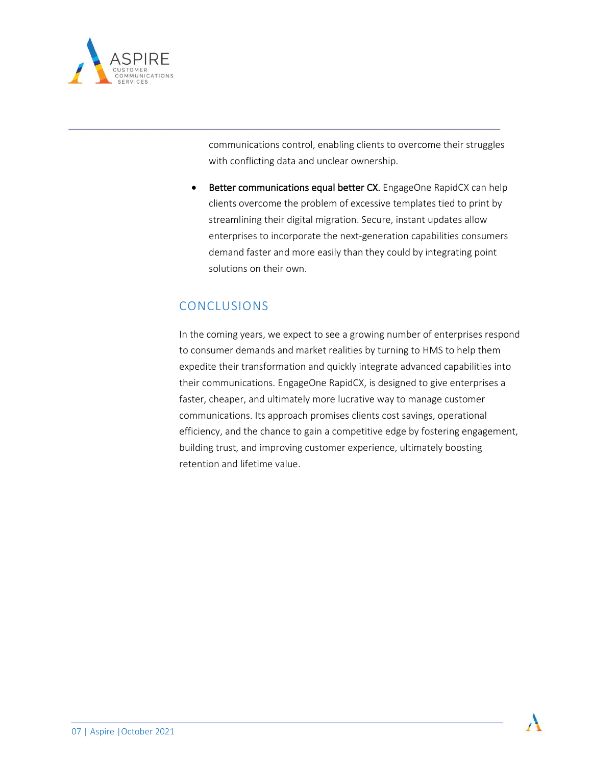

communications control, enabling clients to overcome their struggles with conflicting data and unclear ownership.

Better communications equal better CX. EngageOne RapidCX can help clients overcome the problem of excessive templates tied to print by streamlining their digital migration. Secure, instant updates allow enterprises to incorporate the next-generation capabilities consumers demand faster and more easily than they could by integrating point solutions on their own.

#### CONCLUSIONS

In the coming years, we expect to see a growing number of enterprises respond to consumer demands and market realities by turning to HMS to help them expedite their transformation and quickly integrate advanced capabilities into their communications. EngageOne RapidCX, is designed to give enterprises a faster, cheaper, and ultimately more lucrative way to manage customer communications. Its approach promises clients cost savings, operational efficiency, and the chance to gain a competitive edge by fostering engagement, building trust, and improving customer experience, ultimately boosting retention and lifetime value.